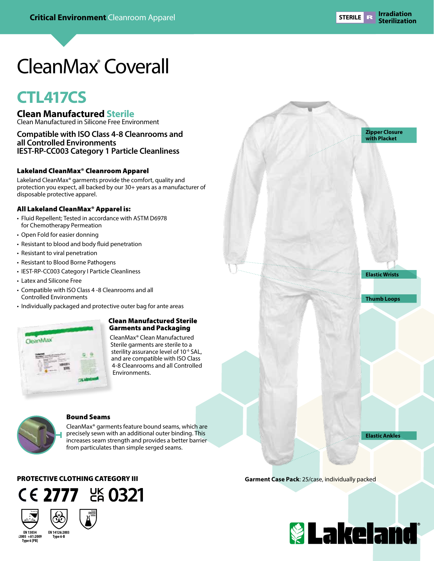**Zipper Closure with Placket**

**Elastic Wrists**

**Thumb Loops**

**Elastic Ankles**

# CleanMax® Coverall

## **CTL417CS**

**Clean Manufactured Sterile**

Clean Manufactured in Silicone Free Environment

### **Compatible with ISO Class 4-8 Cleanrooms and all Controlled Environments IEST-RP-CC003 Category 1 Particle Cleanliness**

#### Lakeland CleanMax® Cleanroom Apparel

Lakeland CleanMax® garments provide the comfort, quality and protection you expect, all backed by our 30+ years as a manufacturer of disposable protective apparel.

#### All Lakeland CleanMax® Apparel is:

- Fluid Repellent; Tested in accordance with ASTM D6978 for Chemotherapy Permeation
- Open Fold for easier donning
- Resistant to blood and body fluid penetration
- Resistant to viral penetration
- Resistant to Blood Borne Pathogens
- IEST-RP-CC003 Category I Particle Cleanliness
- Latex and Silicone Free
- Compatible with ISO Class 4 -8 Cleanrooms and all Controlled Environments
- Individually packaged and protective outer bag for ante areas



#### Clean Manufactured Sterile Garments and Packaging

CleanMax® Clean Manufactured Sterile garments are sterile to a sterility assurance level of 10<sup>-6</sup> SAL, and are compatible with ISO Class 4-8 Cleanrooms and all Controlled Environments.



#### Bound Seams

CleanMax® garments feature bound seams, which are precisely sewn with an additional outer binding. This increases seam strength and provides a better barrier from particulates than simple serged seams.

PROTECTIVE CLOTHING CATEGORY III





**Type 6 [PB]**



**Garment Case Pack**: 25/case, individually packed